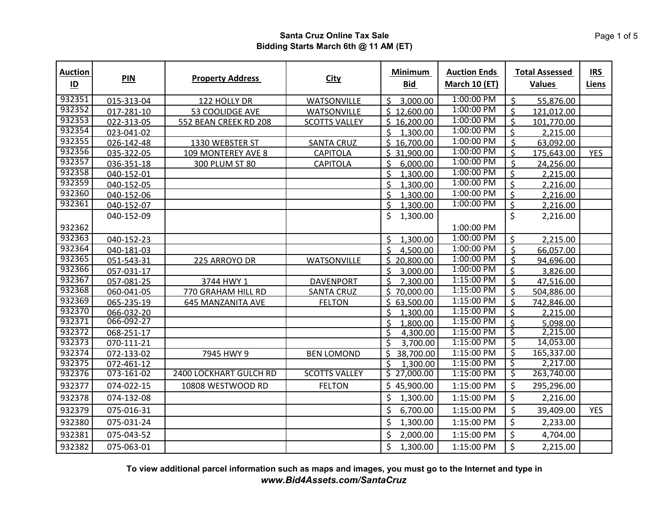| <b>Auction</b><br>$\underline{\mathsf{ID}}$ | <b>PIN</b>                  | <b>Property Address</b>       | <b>City</b>          | <b>Minimum</b><br>Bid                 | <b>Auction Ends</b><br>March 10 (ET) | <b>Total Assessed</b><br><b>Values</b> | <b>IRS</b><br>Liens |
|---------------------------------------------|-----------------------------|-------------------------------|----------------------|---------------------------------------|--------------------------------------|----------------------------------------|---------------------|
| 932351                                      | 015-313-04                  | 122 HOLLY DR                  | <b>WATSONVILLE</b>   | Ś.<br>3,000.00                        | 1:00:00 PM                           | \$<br>55,876.00                        |                     |
| 932352                                      | 017-281-10                  | 53 COOLIDGE AVE               | WATSONVILLE          | \$12,600.00                           | 1:00:00 PM                           | $\mathsf{\dot{S}}$<br>121,012.00       |                     |
| 932353                                      | 022-313-05                  | 552 BEAN CREEK RD 208         | <b>SCOTTS VALLEY</b> | \$16,200.00                           | 1:00:00 PM                           | $\mathsf{\dot{S}}$<br>101,770.00       |                     |
| 932354                                      | 023-041-02                  |                               |                      | Ś.<br>1,300.00                        | 1:00:00 PM                           | Ś<br>2,215.00                          |                     |
| 932355                                      | 026-142-48                  | 1330 WEBSTER ST               | <b>SANTA CRUZ</b>    | \$16,700.00                           | 1:00:00 PM                           | $\mathsf{\dot{S}}$<br>63,092.00        |                     |
| 932356                                      | 035-322-05                  | 109 MONTEREY AVE 8            | <b>CAPITOLA</b>      | \$31,900.00                           | 1:00:00 PM                           | $\mathsf{\hat{S}}$<br>175,643.00       | <b>YES</b>          |
| 932357                                      | 036-351-18                  | 300 PLUM ST 80                | <b>CAPITOLA</b>      | \$<br>6,000.00                        | 1:00:00 PM                           | \$<br>24,256.00                        |                     |
| 932358                                      | 040-152-01                  |                               |                      | \$<br>1,300.00                        | 1:00:00 PM                           | Ś<br>2,215.00                          |                     |
| 932359                                      | 040-152-05                  |                               |                      | Ś.<br>1.300.00                        | 1:00:00 PM                           | $\mathsf{\hat{S}}$<br>2,216.00         |                     |
| 932360                                      | 040-152-06                  |                               |                      | \$<br>1,300.00                        | 1:00:00 PM                           | $\mathsf{\hat{S}}$<br>2,216.00         |                     |
| 932361                                      | 040-152-07                  |                               |                      | \$<br>1,300.00                        | 1:00:00 PM                           | Ś.<br>2,216.00                         |                     |
|                                             | 040-152-09                  |                               |                      | \$<br>1,300.00                        |                                      | \$<br>2,216.00                         |                     |
| 932362                                      |                             |                               |                      |                                       | 1:00:00 PM                           |                                        |                     |
| 932363                                      | 040-152-23                  |                               |                      | Ś<br>1,300.00                         | 1:00:00 PM                           | $\zeta$<br>2,215.00                    |                     |
| 932364                                      | 040-181-03                  |                               |                      | $\mathsf{\hat{S}}$<br>4,500.00        | 1:00:00 PM                           | $\overline{\mathsf{S}}$<br>66,057.00   |                     |
| 932365                                      | 051-543-31                  | 225 ARROYO DR                 | <b>WATSONVILLE</b>   | \$20,800.00                           | 1:00:00 PM                           | $\overline{\mathsf{S}}$<br>94,696.00   |                     |
| 932366                                      | 057-031-17                  |                               |                      | Ś<br>3,000.00                         | 1:00:00 PM                           | $\mathsf{\dot{S}}$<br>3,826.00         |                     |
| 932367                                      | 057-081-25                  | 3744 HWY 1                    | <b>DAVENPORT</b>     | \$<br>7,300.00                        | 1:15:00 PM                           | Ś<br>47,516.00                         |                     |
| 932368                                      | 060-041-05                  | 770 GRAHAM HILL RD            | <b>SANTA CRUZ</b>    | \$70,000.00                           | 1:15:00 PM                           | $\mathsf{\hat{S}}$<br>504,886.00       |                     |
| 932369                                      | 065-235-19                  | 645 MANZANITA AVE             | <b>FELTON</b>        | \$63,500.00                           | 1:15:00 PM                           | $\mathsf{\dot{S}}$<br>742,846.00       |                     |
| 932370                                      | 066-032-20                  |                               |                      | $\mathsf{\dot{S}}$<br>1,300.00        | 1:15:00 PM                           | Ś<br>2,215.00                          |                     |
| 932371                                      | 066-092-27                  |                               |                      | \$<br>1,800.00                        | 1:15:00 PM                           | $\mathsf{\hat{S}}$<br>5,098.00         |                     |
| 932372                                      | 068-251-17                  |                               |                      | \$<br>4,300.00                        | 1:15:00 PM                           | \$<br>2,215.00                         |                     |
| 932373                                      | 070-111-21                  |                               |                      | $\overline{\mathcal{S}}$<br>3,700.00  | 1:15:00 PM                           | \$<br>14,053.00                        |                     |
| 932374                                      | $\overline{072} - 133 - 02$ | 7945 HWY 9                    | <b>BEN LOMOND</b>    | $\overline{\mathcal{S}}$<br>38,700.00 | 1:15:00 PM                           | \$<br>165,337.00                       |                     |
| 932375                                      | 072-461-12                  |                               |                      | $\overline{\mathsf{S}}$<br>1,300.00   | 1:15:00 PM                           | \$<br>2,217.00                         |                     |
| 932376                                      | 073-161-02                  | <b>2400 LOCKHART GULCH RD</b> | <b>SCOTTS VALLEY</b> | \$27,000.00                           | 1:15:00 PM                           | ζ<br>263,740.00                        |                     |
| 932377                                      | 074-022-15                  | 10808 WESTWOOD RD             | <b>FELTON</b>        | \$45,900.00                           | 1:15:00 PM                           | \$<br>295,296.00                       |                     |
| 932378                                      | 074-132-08                  |                               |                      | \$<br>1,300.00                        | 1:15:00 PM                           | \$<br>2,216.00                         |                     |
| 932379                                      | 075-016-31                  |                               |                      | \$<br>6,700.00                        | 1:15:00 PM                           | \$<br>39,409.00                        | <b>YES</b>          |
| 932380                                      | 075-031-24                  |                               |                      | \$<br>1,300.00                        | 1:15:00 PM                           | \$<br>2,233.00                         |                     |
| 932381                                      | 075-043-52                  |                               |                      | \$<br>2,000.00                        | 1:15:00 PM                           | \$<br>4,704.00                         |                     |
| 932382                                      | 075-063-01                  |                               |                      | \$<br>1,300.00                        | 1:15:00 PM                           | \$<br>2,215.00                         |                     |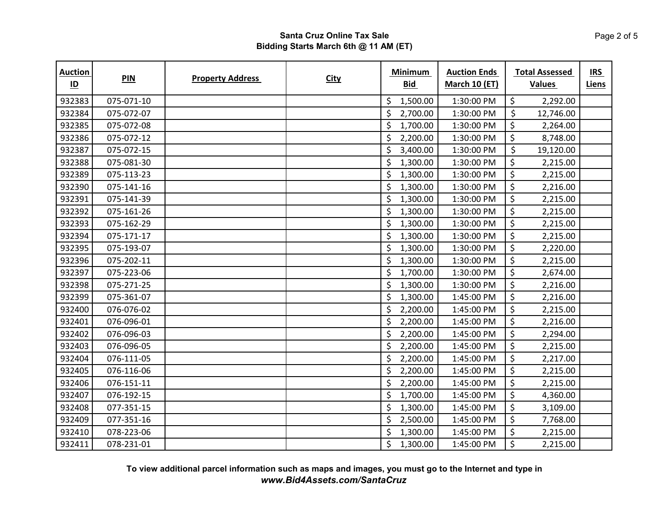| <b>Auction</b><br>$\underline{\mathsf{ID}}$ | PIN        | <b>Property Address</b> | <b>City</b> | <b>Minimum</b><br><b>Bid</b> | <b>Auction Ends</b><br><b>March 10 (ET)</b> | <b>Total Assessed</b><br><b>Values</b> | <b>IRS</b><br><b>Liens</b> |
|---------------------------------------------|------------|-------------------------|-------------|------------------------------|---------------------------------------------|----------------------------------------|----------------------------|
| 932383                                      | 075-071-10 |                         |             | \$<br>1,500.00               | 1:30:00 PM                                  | \$<br>2,292.00                         |                            |
| 932384                                      | 075-072-07 |                         |             | \$<br>2,700.00               | 1:30:00 PM                                  | \$<br>12,746.00                        |                            |
| 932385                                      | 075-072-08 |                         |             | \$<br>1,700.00               | 1:30:00 PM                                  | $\zeta$<br>2,264.00                    |                            |
| 932386                                      | 075-072-12 |                         |             | \$<br>2,200.00               | 1:30:00 PM                                  | \$<br>8,748.00                         |                            |
| 932387                                      | 075-072-15 |                         |             | \$<br>3,400.00               | 1:30:00 PM                                  | \$<br>19,120.00                        |                            |
| 932388                                      | 075-081-30 |                         |             | \$<br>1,300.00               | 1:30:00 PM                                  | \$<br>2,215.00                         |                            |
| 932389                                      | 075-113-23 |                         |             | \$<br>1,300.00               | 1:30:00 PM                                  | $\ddot{\varsigma}$<br>2,215.00         |                            |
| 932390                                      | 075-141-16 |                         |             | \$<br>1,300.00               | 1:30:00 PM                                  | \$<br>2,216.00                         |                            |
| 932391                                      | 075-141-39 |                         |             | \$<br>1,300.00               | 1:30:00 PM                                  | \$<br>2,215.00                         |                            |
| 932392                                      | 075-161-26 |                         |             | \$<br>1,300.00               | 1:30:00 PM                                  | \$<br>2,215.00                         |                            |
| 932393                                      | 075-162-29 |                         |             | \$<br>1,300.00               | 1:30:00 PM                                  | $\zeta$<br>2,215.00                    |                            |
| 932394                                      | 075-171-17 |                         |             | \$<br>1,300.00               | 1:30:00 PM                                  | $\ddot{\varsigma}$<br>2,215.00         |                            |
| 932395                                      | 075-193-07 |                         |             | \$<br>1,300.00               | 1:30:00 PM                                  | \$<br>2,220.00                         |                            |
| 932396                                      | 075-202-11 |                         |             | \$<br>1,300.00               | 1:30:00 PM                                  | \$<br>2,215.00                         |                            |
| 932397                                      | 075-223-06 |                         |             | \$<br>1,700.00               | 1:30:00 PM                                  | $\zeta$<br>2,674.00                    |                            |
| 932398                                      | 075-271-25 |                         |             | \$<br>1,300.00               | 1:30:00 PM                                  | \$<br>2,216.00                         |                            |
| 932399                                      | 075-361-07 |                         |             | \$<br>1,300.00               | 1:45:00 PM                                  | \$<br>2,216.00                         |                            |
| 932400                                      | 076-076-02 |                         |             | \$<br>2,200.00               | 1:45:00 PM                                  | \$<br>2,215.00                         |                            |
| 932401                                      | 076-096-01 |                         |             | \$<br>2,200.00               | 1:45:00 PM                                  | \$<br>2,216.00                         |                            |
| 932402                                      | 076-096-03 |                         |             | \$<br>2,200.00               | 1:45:00 PM                                  | $\ddot{\varsigma}$<br>2,294.00         |                            |
| 932403                                      | 076-096-05 |                         |             | \$<br>2,200.00               | 1:45:00 PM                                  | $\zeta$<br>2,215.00                    |                            |
| 932404                                      | 076-111-05 |                         |             | \$<br>2,200.00               | 1:45:00 PM                                  | \$<br>2,217.00                         |                            |
| 932405                                      | 076-116-06 |                         |             | \$<br>2,200.00               | 1:45:00 PM                                  | $\zeta$<br>2,215.00                    |                            |
| 932406                                      | 076-151-11 |                         |             | \$<br>2,200.00               | 1:45:00 PM                                  | \$<br>2,215.00                         |                            |
| 932407                                      | 076-192-15 |                         |             | \$<br>1,700.00               | 1:45:00 PM                                  | \$<br>4,360.00                         |                            |
| 932408                                      | 077-351-15 |                         |             | \$<br>1,300.00               | 1:45:00 PM                                  | $\ddot{\varsigma}$<br>3,109.00         |                            |
| 932409                                      | 077-351-16 |                         |             | \$<br>2,500.00               | 1:45:00 PM                                  | $\zeta$<br>7,768.00                    |                            |
| 932410                                      | 078-223-06 |                         |             | \$<br>1,300.00               | 1:45:00 PM                                  | $\zeta$<br>2,215.00                    |                            |
| 932411                                      | 078-231-01 |                         |             | \$<br>1,300.00               | 1:45:00 PM                                  | \$<br>2,215.00                         |                            |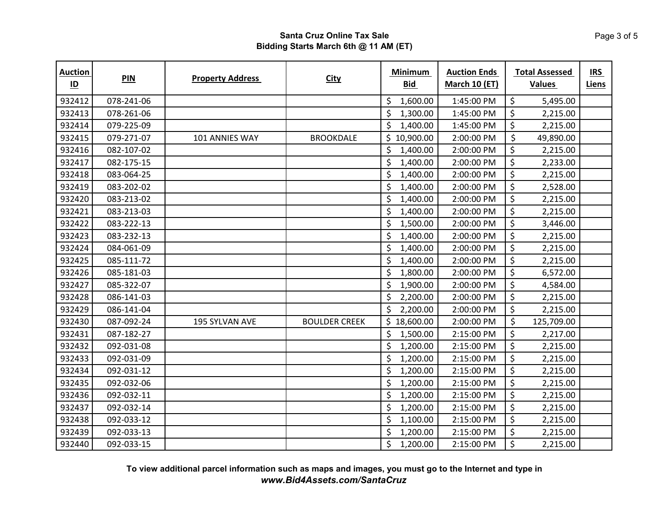| <b>Auction</b><br>$\underline{\mathsf{ID}}$ | PIN        | <b>Property Address</b> | <b>City</b>          | <b>Minimum</b><br><b>Bid</b> | <b>Auction Ends</b><br>March 10 (ET) | <b>Total Assessed</b><br><b>Values</b> | <b>IRS</b><br><b>Liens</b> |
|---------------------------------------------|------------|-------------------------|----------------------|------------------------------|--------------------------------------|----------------------------------------|----------------------------|
| 932412                                      | 078-241-06 |                         |                      | \$<br>1,600.00               | 1:45:00 PM                           | \$<br>5,495.00                         |                            |
| 932413                                      | 078-261-06 |                         |                      | \$<br>1,300.00               | 1:45:00 PM                           | \$<br>2,215.00                         |                            |
| 932414                                      | 079-225-09 |                         |                      | \$<br>1,400.00               | 1:45:00 PM                           | $\zeta$<br>2,215.00                    |                            |
| 932415                                      | 079-271-07 | 101 ANNIES WAY          | <b>BROOKDALE</b>     | \$10,900.00                  | 2:00:00 PM                           | \$<br>49,890.00                        |                            |
| 932416                                      | 082-107-02 |                         |                      | \$<br>1,400.00               | 2:00:00 PM                           | $\zeta$<br>2,215.00                    |                            |
| 932417                                      | 082-175-15 |                         |                      | \$<br>1,400.00               | 2:00:00 PM                           | $\zeta$<br>2,233.00                    |                            |
| 932418                                      | 083-064-25 |                         |                      | \$<br>1,400.00               | 2:00:00 PM                           | $\zeta$<br>2,215.00                    |                            |
| 932419                                      | 083-202-02 |                         |                      | \$<br>1,400.00               | 2:00:00 PM                           | \$<br>2,528.00                         |                            |
| 932420                                      | 083-213-02 |                         |                      | \$<br>1,400.00               | 2:00:00 PM                           | \$<br>2,215.00                         |                            |
| 932421                                      | 083-213-03 |                         |                      | \$<br>1,400.00               | 2:00:00 PM                           | \$<br>2,215.00                         |                            |
| 932422                                      | 083-222-13 |                         |                      | \$<br>1,500.00               | 2:00:00 PM                           | $\zeta$<br>3,446.00                    |                            |
| 932423                                      | 083-232-13 |                         |                      | \$<br>1,400.00               | 2:00:00 PM                           | $\zeta$<br>2,215.00                    |                            |
| 932424                                      | 084-061-09 |                         |                      | \$<br>1,400.00               | 2:00:00 PM                           | \$<br>2,215.00                         |                            |
| 932425                                      | 085-111-72 |                         |                      | \$<br>1,400.00               | 2:00:00 PM                           | \$<br>2,215.00                         |                            |
| 932426                                      | 085-181-03 |                         |                      | \$<br>1,800.00               | 2:00:00 PM                           | $\zeta$<br>6,572.00                    |                            |
| 932427                                      | 085-322-07 |                         |                      | \$<br>1,900.00               | 2:00:00 PM                           | \$<br>4,584.00                         |                            |
| 932428                                      | 086-141-03 |                         |                      | \$<br>2,200.00               | 2:00:00 PM                           | \$<br>2,215.00                         |                            |
| 932429                                      | 086-141-04 |                         |                      | \$<br>2,200.00               | 2:00:00 PM                           | \$<br>2,215.00                         |                            |
| 932430                                      | 087-092-24 | 195 SYLVAN AVE          | <b>BOULDER CREEK</b> | \$18,600.00                  | 2:00:00 PM                           | \$<br>125,709.00                       |                            |
| 932431                                      | 087-182-27 |                         |                      | \$<br>1,500.00               | 2:15:00 PM                           | $\zeta$<br>2,217.00                    |                            |
| 932432                                      | 092-031-08 |                         |                      | \$<br>1,200.00               | 2:15:00 PM                           | $\zeta$<br>2,215.00                    |                            |
| 932433                                      | 092-031-09 |                         |                      | \$<br>1,200.00               | 2:15:00 PM                           | \$<br>2,215.00                         |                            |
| 932434                                      | 092-031-12 |                         |                      | \$<br>1,200.00               | 2:15:00 PM                           | $\zeta$<br>2,215.00                    |                            |
| 932435                                      | 092-032-06 |                         |                      | \$<br>1,200.00               | 2:15:00 PM                           | \$<br>2,215.00                         |                            |
| 932436                                      | 092-032-11 |                         |                      | \$<br>1,200.00               | 2:15:00 PM                           | \$<br>2,215.00                         |                            |
| 932437                                      | 092-032-14 |                         |                      | \$<br>1,200.00               | 2:15:00 PM                           | $\zeta$<br>2,215.00                    |                            |
| 932438                                      | 092-033-12 |                         |                      | \$<br>1,100.00               | 2:15:00 PM                           | $\zeta$<br>2,215.00                    |                            |
| 932439                                      | 092-033-13 |                         |                      | \$<br>1,200.00               | 2:15:00 PM                           | $\zeta$<br>2,215.00                    |                            |
| 932440                                      | 092-033-15 |                         |                      | \$<br>1,200.00               | 2:15:00 PM                           | $\zeta$<br>2,215.00                    |                            |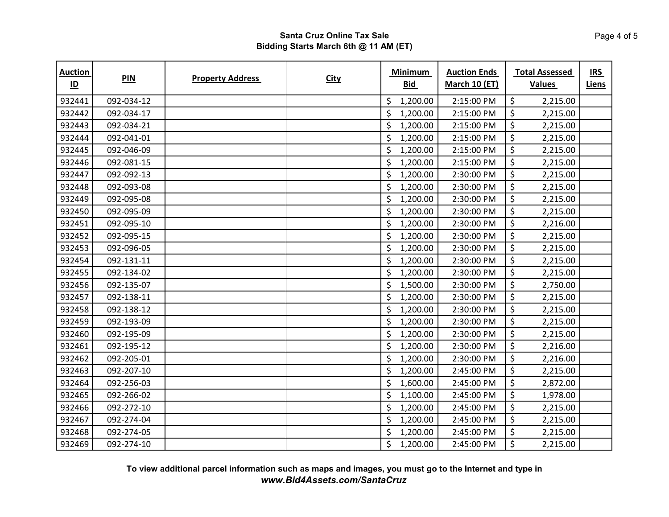| <b>Auction</b><br>$\underline{\mathsf{ID}}$ | PIN        | <b>Property Address</b> | <b>City</b> | <b>Minimum</b><br><b>Bid</b> | <b>Auction Ends</b><br><b>March 10 (ET)</b> | <b>Total Assessed</b><br><b>Values</b> | <b>IRS</b><br>Liens |
|---------------------------------------------|------------|-------------------------|-------------|------------------------------|---------------------------------------------|----------------------------------------|---------------------|
| 932441                                      | 092-034-12 |                         |             | \$<br>1,200.00               | 2:15:00 PM                                  | \$<br>2,215.00                         |                     |
| 932442                                      | 092-034-17 |                         |             | \$<br>1,200.00               | 2:15:00 PM                                  | \$<br>2,215.00                         |                     |
| 932443                                      | 092-034-21 |                         |             | \$<br>1,200.00               | 2:15:00 PM                                  | $\zeta$<br>2,215.00                    |                     |
| 932444                                      | 092-041-01 |                         |             | \$<br>1,200.00               | 2:15:00 PM                                  | \$<br>2,215.00                         |                     |
| 932445                                      | 092-046-09 |                         |             | \$<br>1,200.00               | 2:15:00 PM                                  | $\ddot{\varsigma}$<br>2,215.00         |                     |
| 932446                                      | 092-081-15 |                         |             | \$<br>1,200.00               | 2:15:00 PM                                  | $\ddot{\varsigma}$<br>2,215.00         |                     |
| 932447                                      | 092-092-13 |                         |             | \$<br>1,200.00               | 2:30:00 PM                                  | $\ddot{\varsigma}$<br>2,215.00         |                     |
| 932448                                      | 092-093-08 |                         |             | \$<br>1,200.00               | 2:30:00 PM                                  | $\zeta$<br>2,215.00                    |                     |
| 932449                                      | 092-095-08 |                         |             | \$<br>1,200.00               | 2:30:00 PM                                  | $\zeta$<br>2,215.00                    |                     |
| 932450                                      | 092-095-09 |                         |             | \$<br>1,200.00               | 2:30:00 PM                                  | \$<br>2,215.00                         |                     |
| 932451                                      | 092-095-10 |                         |             | \$<br>1,200.00               | 2:30:00 PM                                  | \$<br>2,216.00                         |                     |
| 932452                                      | 092-095-15 |                         |             | \$<br>1,200.00               | 2:30:00 PM                                  | $\zeta$<br>2,215.00                    |                     |
| 932453                                      | 092-096-05 |                         |             | \$<br>1,200.00               | 2:30:00 PM                                  | \$<br>2,215.00                         |                     |
| 932454                                      | 092-131-11 |                         |             | \$<br>1,200.00               | 2:30:00 PM                                  | \$<br>2,215.00                         |                     |
| 932455                                      | 092-134-02 |                         |             | \$<br>1,200.00               | 2:30:00 PM                                  | $\zeta$<br>2,215.00                    |                     |
| 932456                                      | 092-135-07 |                         |             | \$<br>1,500.00               | 2:30:00 PM                                  | \$<br>2,750.00                         |                     |
| 932457                                      | 092-138-11 |                         |             | \$<br>1,200.00               | 2:30:00 PM                                  | $\zeta$<br>2,215.00                    |                     |
| 932458                                      | 092-138-12 |                         |             | \$<br>1,200.00               | 2:30:00 PM                                  | $\zeta$<br>2,215.00                    |                     |
| 932459                                      | 092-193-09 |                         |             | \$<br>1,200.00               | 2:30:00 PM                                  | \$<br>2,215.00                         |                     |
| 932460                                      | 092-195-09 |                         |             | \$<br>1,200.00               | 2:30:00 PM                                  | $\zeta$<br>2,215.00                    |                     |
| 932461                                      | 092-195-12 |                         |             | \$<br>1,200.00               | 2:30:00 PM                                  | \$<br>2,216.00                         |                     |
| 932462                                      | 092-205-01 |                         |             | \$<br>1,200.00               | 2:30:00 PM                                  | $\ddot{\varsigma}$<br>2,216.00         |                     |
| 932463                                      | 092-207-10 |                         |             | \$<br>1,200.00               | 2:45:00 PM                                  | $\zeta$<br>2,215.00                    |                     |
| 932464                                      | 092-256-03 |                         |             | \$<br>1,600.00               | 2:45:00 PM                                  | \$<br>2,872.00                         |                     |
| 932465                                      | 092-266-02 |                         |             | \$<br>1,100.00               | 2:45:00 PM                                  | \$<br>1,978.00                         |                     |
| 932466                                      | 092-272-10 |                         |             | \$<br>1,200.00               | 2:45:00 PM                                  | \$<br>2,215.00                         |                     |
| 932467                                      | 092-274-04 |                         |             | \$<br>1,200.00               | 2:45:00 PM                                  | $\zeta$<br>2,215.00                    |                     |
| 932468                                      | 092-274-05 |                         |             | \$<br>1,200.00               | 2:45:00 PM                                  | \$<br>2,215.00                         |                     |
| 932469                                      | 092-274-10 |                         |             | \$<br>1,200.00               | 2:45:00 PM                                  | $\zeta$<br>2,215.00                    |                     |